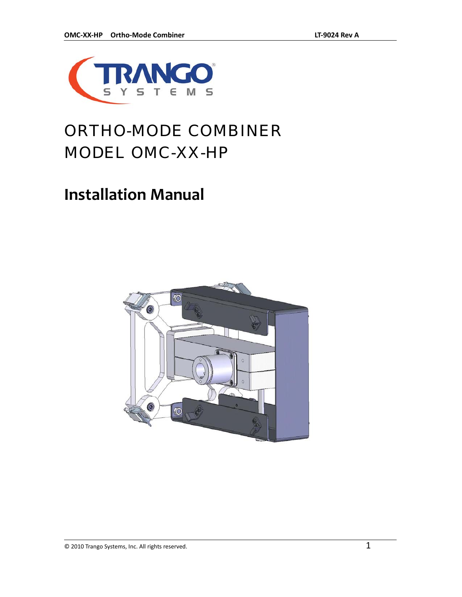

### ORTHO-MODE COMBINER MODEL OMC-XX-HP

### **Installation Manual**

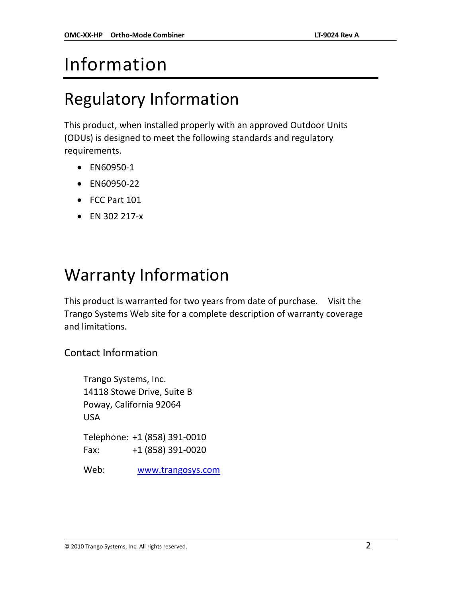## Information

### Regulatory Information

This product, when installed properly with an approved Outdoor Units (ODUs) is designed to meet the following standards and regulatory requirements.

- EN60950‐1
- EN60950‐22
- FCC Part 101
- EN 302 217‐x

### Warranty Information

This product is warranted for two years from date of purchase. Visit the Trango Systems Web site for a complete description of warranty coverage and limitations.

Contact Information

Trango Systems, Inc. 14118 Stowe Drive, Suite B Poway, California 92064 USA Telephone: +1 (858) 391‐0010 Fax: +1 (858) 391‐0020

Web: www.trangosys.com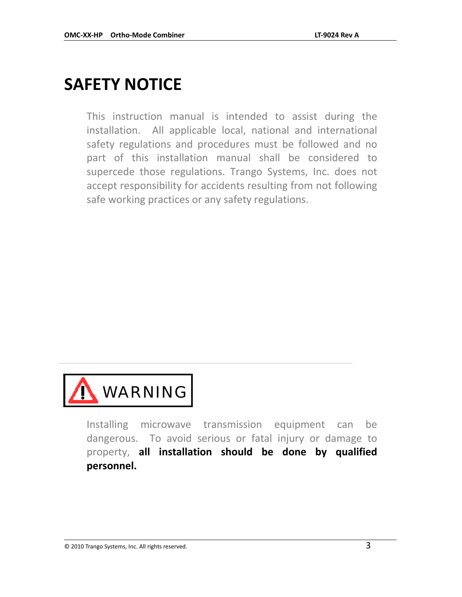### **SAFETY NOTICE**

This instruction manual is intended to assist during the installation. All applicable local, national and international safety regulations and procedures must be followed and no part of this installation manual shall be considered to supercede those regulations. Trango Systems, Inc. does not accept responsibility for accidents resulting from not following safe working practices or any safety regulations.



Installing microwave transmission equipment can be dangerous. To avoid serious or fatal injury or damage to property, **all installation should be done by qualified personnel.**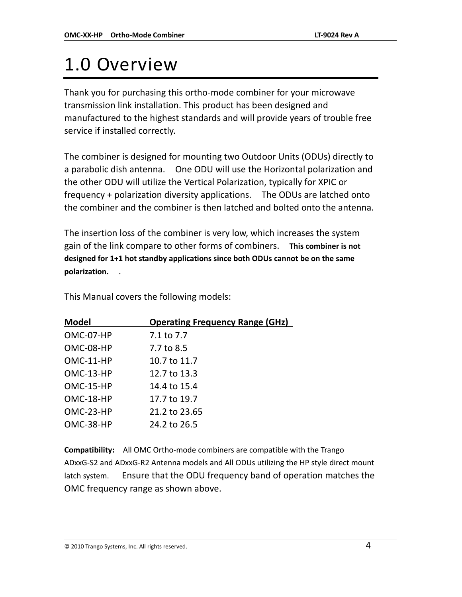## 1.0 Overview

Thank you for purchasing this ortho‐mode combiner for your microwave transmission link installation. This product has been designed and manufactured to the highest standards and will provide years of trouble free service if installed correctly.

The combiner is designed for mounting two Outdoor Units (ODUs) directly to a parabolic dish antenna. One ODU will use the Horizontal polarization and the other ODU will utilize the Vertical Polarization, typically for XPIC or frequency + polarization diversity applications. The ODUs are latched onto the combiner and the combiner is then latched and bolted onto the antenna.

The insertion loss of the combiner is very low, which increases the system gain of the link compare to other forms of combiners. **This combiner is not designed for 1+1 hot standby applications since both ODUs cannot be on the same** polarization.

This Manual covers the following models:

| <b>Model</b> | <b>Operating Frequency Range (GHz)</b> |
|--------------|----------------------------------------|
| OMC-07-HP    | 7.1 to 7.7                             |
| OMC-08-HP    | 7.7 to 8.5                             |
| $OMC-11-HP$  | 10.7 to 11.7                           |
| OMC-13-HP    | 12.7 to 13.3                           |
| OMC-15-HP    | 14.4 to 15.4                           |
| OMC-18-HP    | 17.7 to 19.7                           |
| OMC-23-HP    | 21.2 to 23.65                          |
| OMC-38-HP    | 24.2 to 26.5                           |

**Compatibility:** All OMC Ortho‐mode combiners are compatible with the Trango ADxxG‐S2 and ADxxG‐R2 Antenna models and All ODUs utilizing the HP style direct mount latch system. Ensure that the ODU frequency band of operation matches the OMC frequency range as shown above.

#### $\circledcirc$  2010 Trango Systems, Inc. All rights reserved.  $4$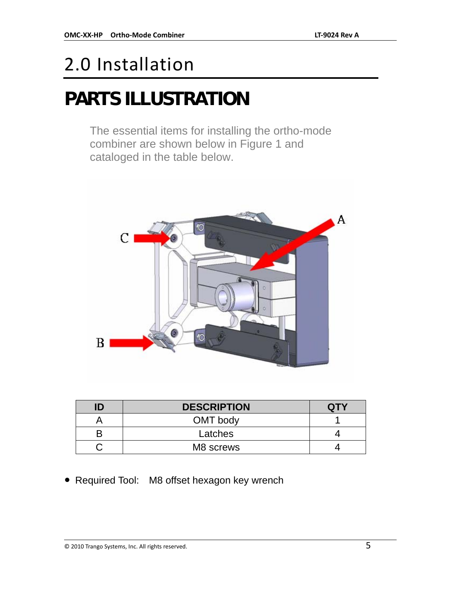## 2.0 Installation

## **PARTS ILLUSTRATION**

The essential items for installing the ortho-mode combiner are shown below in Figure 1 and cataloged in the table below.



| ID | <b>DESCRIPTION</b> | <b>QTY</b> |
|----|--------------------|------------|
|    | OMT body           |            |
|    | Latches            |            |
|    | M8 screws          |            |

• Required Tool: M8 offset hexagon key wrench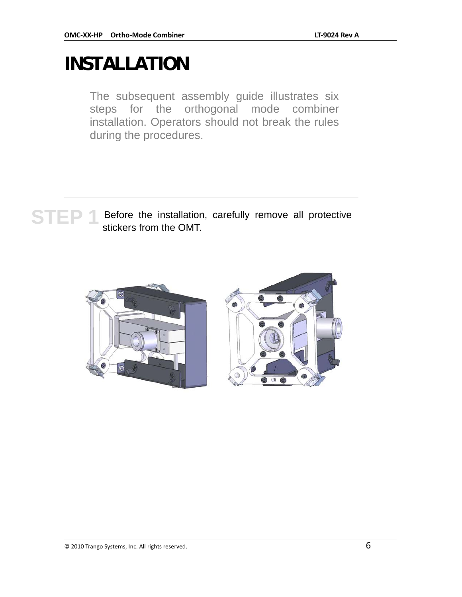## **INSTALLATION**

The subsequent assembly guide illustrates six steps for the orthogonal mode combiner installation. Operators should not break the rules during the procedures.

# STEP 1 Before the installation, carefully remove all protective stickers from the OMT.

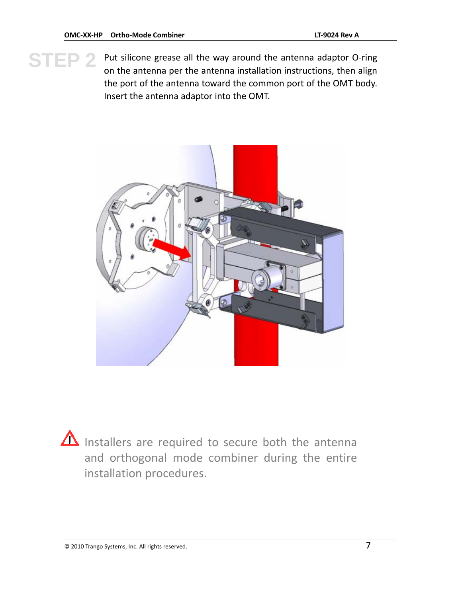**STEP 2** Put silicone grease all the way around the antenna adaptor O-ring<br>on the antenna per the antenna installation instructions, then align on the antenna per the antenna installation instructions, then align the port of the antenna toward the common port of the OMT body. Insert the antenna adaptor into the OMT.



  $\Delta$  Installers are required to secure both the antenna and orthogonal mode combiner during the entire installation procedures.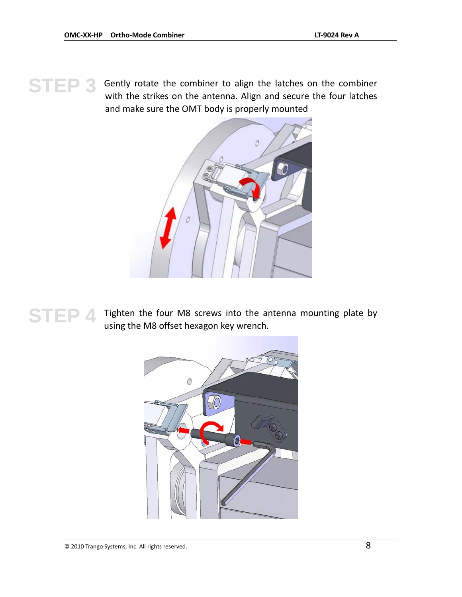STEP 3 Gently rotate the combiner to align the latches on the combiner with the strikes on the antenna. Align and secure the four latches and make sure the OMT body is properly mounted



**STEP 4** Tighten the four M8 screws into the antenna mounting plate by using the M8 offset hexagon key wrench.

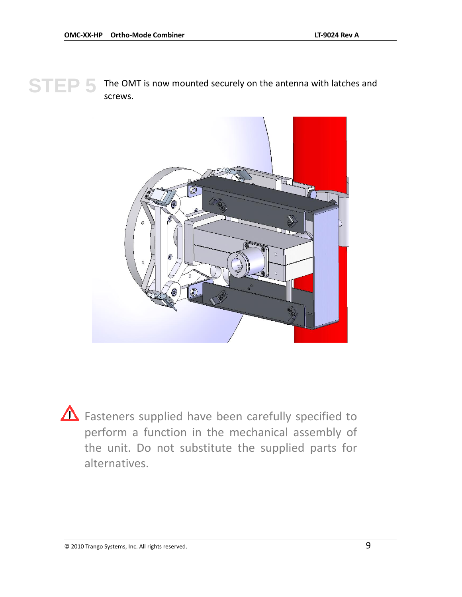#### **STEP 5** The OMT is now mounted securely on the antenna with latches and<br>
STEP 5 *STEWS* screws.



**A** Fasteners supplied have been carefully specified to perform a function in the mechanical assembly of the unit. Do not substitute the supplied parts for alternatives.